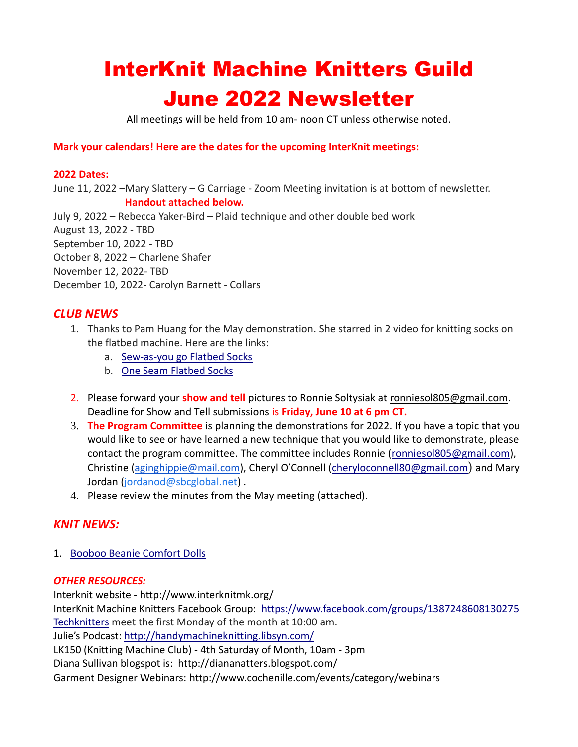# InterKnit Machine Knitters Guild June 2022 Newsletter

All meetings will be held from 10 am- noon CT unless otherwise noted.

### **Mark your calendars! Here are the dates for the upcoming InterKnit meetings:**

#### **2022 Dates:**

June 11, 2022 –Mary Slattery – G Carriage - Zoom Meeting invitation is at bottom of newsletter. **Handout attached below.** July 9, 2022 – Rebecca Yaker-Bird – Plaid technique and other double bed work August 13, 2022 - TBD September 10, 2022 - TBD October 8, 2022 – Charlene Shafer November 12, 2022- TBD December 10, 2022- Carolyn Barnett - Collars

## *CLUB NEWS*

- 1. Thanks to Pam Huang for the May demonstration. She starred in 2 video for knitting socks on the flatbed machine. Here are the links:
	- a. [Sew-as-you go Flatbed Socks](https://youtu.be/wLvYlPGgoBc)
	- b. [One Seam Flatbed Socks](https://youtu.be/LQvempuvM38)
- 2. Please forward your **show and tell** pictures to Ronnie Soltysiak at [ronniesol805@gmail.com.](mailto:ronniesol805@gmail.com) Deadline for Show and Tell submissions is **Friday, June 10 at 6 pm CT.**
- 3. **The Program Committee** is planning the demonstrations for 2022. If you have a topic that you would like to see or have learned a new technique that you would like to demonstrate, please contact the program committee. The committee includes Ronnie [\(ronniesol805@gmail.com\)](mailto:ronniesol805@gmail.com), Christine ([aginghippie@mail.com](mailto:aginghippie@mail.com)), Cheryl O'Connell [\(cheryloconnell80@gmail.com](mailto:cheryloconnell80@gmail.com)) and Mary Jordan ([jordanod@sbcglobal.net](mailto:jordanod@sbcglobal.net)).
- 4. Please review the minutes from the May meeting (attached).

# *KNIT NEWS:*

1. [Booboo Beanie Comfort Dolls](https://youtu.be/MdVAuFBlOPo)

### *OTHER RESOURCES:*

Interknit website - <http://www.interknitmk.org/> InterKnit Machine Knitters Facebook Group: <https://www.facebook.com/groups/1387248608130275> [Techknitters](https://www.facebook.com/groups/412997732183482/) meet the first Monday of the month at 10:00 am. Julie's Podcast:<http://handymachineknitting.libsyn.com/> LK150 (Knitting Machine Club) - 4th Saturday of Month, 10am - 3pm Diana Sullivan blogspot is: <http://diananatters.blogspot.com/> Garment Designer Webinars:<http://www.cochenille.com/events/category/webinars>